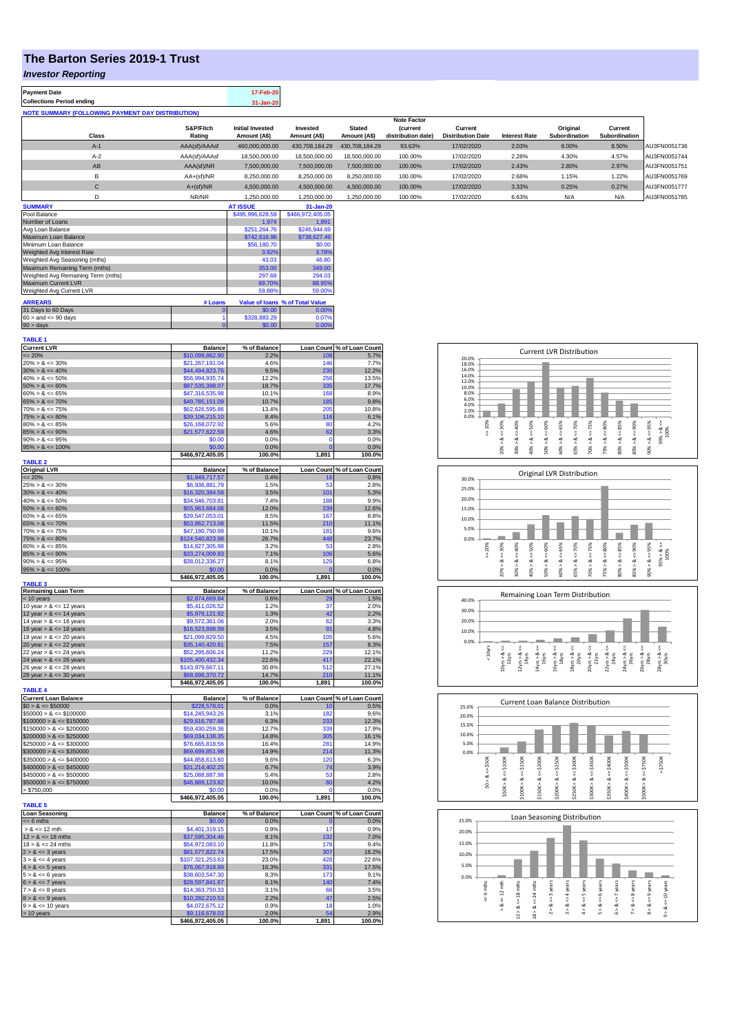## **The Barton Series 2019-1 Trust**

## *Investor Reporting*

| <b>Payment Date</b>                                      | 17-Feb-20 |
|----------------------------------------------------------|-----------|
| <b>Collections Period ending</b>                         | 31-Jan-20 |
| <b>NOTE SUMMARY (FOLLOWING PAYMENT DAY DISTRIBUTION)</b> |           |

|              |               |                         |                |                | <b>Note Factor</b> |                          |                      |               |               |              |
|--------------|---------------|-------------------------|----------------|----------------|--------------------|--------------------------|----------------------|---------------|---------------|--------------|
|              | S&P/Fitch     | <b>Initial Invested</b> | Invested       | <b>Stated</b>  | <b>Current</b>     | Current                  |                      | Original      | Current       |              |
| Class        | Rating        | Amount (A\$)            | Amount (A\$)   | Amount (A\$)   | distribution date) | <b>Distribution Date</b> | <b>Interest Rate</b> | Subordination | Subordination |              |
| $A-1$        | AAA(sf)/AAAsf | 460,000,000.00          | 430,708,184.29 | 430.708.184.29 | 93.63%             | 17/02/2020               | 2.03%                | 8.00%         | 8.50%         | AU3FN0051736 |
| $A-2$        | AAA(sf)/AAAsf | 18,500,000,00           | 18,500,000,00  | 18,500,000,00  | 100.00%            | 17/02/2020               | 2.28%                | 4.30%         | 4.57%         | AU3FN0051744 |
| AB           | AAA(sf)/NR    | 7,500,000.00            | 7.500.000.00   | 7.500.000.00   | 100.00%            | 17/02/2020               | 2.43%                | 2.80%         | 2.97%         | AU3FN0051751 |
| в            | $AA+(sf)/NR$  | 8,250,000.00            | 8,250,000.00   | 8,250,000.00   | 100.00%            | 17/02/2020               | 2.68%                | 1.15%         | 1.22%         | AU3FN0051769 |
| $\mathsf{C}$ | $A+(sf)/NR$   | 4,500,000.00            | 4,500,000.00   | 4.500.000.00   | 100.00%            | 17/02/2020               | 3.33%                | 0.25%         | 0.27%         | AU3FN0051777 |
|              | NR/NR         | 1.250.000.00            | 1.250.000.00   | .250.000.00    | 100.00%            | 17/02/2020               | 6.63%                | N/A           | N/A           | AU3FN0051785 |

| <b>SUMMARY</b>                     |         | <b>AT ISSUE</b>  | $31 - Jan-20$                   |
|------------------------------------|---------|------------------|---------------------------------|
| Pool Balance                       |         | \$495,996,628.58 | \$466.972.405.05                |
| Number of Loans                    |         | 1.974            | 1.891                           |
| Avg Loan Balance                   |         | \$251.264.76     | \$246,944.69                    |
| Maximum Loan Balance               |         | \$742,616.96     | \$738,627.49                    |
| Minimum Loan Balance               |         | \$56,180.70      | \$0.00                          |
| Weighted Avg Interest Rate         |         | 3.92%            | 3.78%                           |
| Weighted Avg Seasoning (mths)      |         | 43.03            | 46.80                           |
| Maximum Remaining Term (mths)      |         | 353.00           | 349.00                          |
| Weighted Avg Remaining Term (mths) |         | 297.68           | 294.03                          |
| Maximum Current LVR                |         | 89.70%           | 88.95%                          |
| Weighted Avg Current LVR           |         | 59.88%           | 59.00%                          |
| <b>ARREARS</b>                     | # Loans |                  | Value of Ioans % of Total Value |
| 31 Days to 60 Days                 |         | \$0.00           | 0.00%                           |
| $60 >$ and $\leq 90$ days          |         | \$328,883.29     | 0.07%                           |
| $90 >$ days                        |         | \$0.00           | 0.00%                           |

| TABLE 1                     |                  |              |                   |                            |
|-----------------------------|------------------|--------------|-------------------|----------------------------|
| <b>Current LVR</b>          | <b>Balance</b>   | % of Balance |                   | Loan Count % of Loan Count |
| $= 20%$                     | \$10,099,862.90  | 2.2%         | 108               | 5.7%                       |
| $20\% > 8 \le 30\%$         | \$21,267,191.04  | 4.6%         | 146               | 7.7%                       |
| $30\% > 8 \le 40\%$         | \$44,494,823.76  | 9.5%         | 230               | 12.2%                      |
| $40\% > 8 \le 50\%$         | \$56,994,935.74  | 12.2%        | 256               | 13.5%                      |
| $50\% > 8 \le 60\%$         | \$87,535,398.07  | 18.7%        | 335               | 17.7%                      |
| $60\% > 8 \le 65\%$         | \$47,316,535.98  | 10.1%        | 168               | 8.9%                       |
| $65\% > 8 \le 70\%$         | \$49,785,151.09  | 10.7%        | 185               | 9.8%                       |
| $70\% > 8 \le 75\%$         | \$62,626,595.86  | 13.4%        | 205               | 10.8%                      |
| $75\% > 8 \le 80\%$         | \$39,106,215.10  | 8.4%         | 116               | 6.1%                       |
| $80\% > 8 \le 85\%$         | \$26,168,072.92  | 5.6%         | 80                | 4.2%                       |
| $85\% > 8 \le 90\%$         | \$21,577,622.59  | 4.6%         | 62                | 3.3%                       |
| $90\% > 8 \le 95\%$         | \$0.00           | 0.0%         | $\mathbf{0}$      | 0.0%                       |
| $95\% > 8 \le 100\%$        | \$0.00           | 0.0%         | $\overline{0}$    | 0.0%                       |
|                             | \$466,972,405.05 | 100.0%       | 1,891             | 100.0%                     |
| <b>TABLE 2</b>              |                  |              |                   |                            |
| <b>Original LVR</b>         | <b>Balance</b>   | % of Balance | <b>Loan Count</b> | % of Loan Count            |
| $= 20%$                     | \$1,949,717.57   | 0.4%         | 16<br>53          | 0.8%                       |
| $25\% > 8 \le 30\%$         | \$6,936,881.79   | 1.5%         |                   | 2.8%                       |
| $30\% > 8 \le 40\%$         | \$16,320,384.58  | 3.5%         | 101               | 5.3%                       |
| $40\% > 8 \le 50\%$         | \$34,546,703.81  | 7.4%         | 188               | 9.9%                       |
| $50\% > 8 \le 60\%$         | \$55,963,684.06  | 12.0%        | 239<br>167        | 12.6%                      |
| $60\% > 8 \le 65\%$         | \$39,547,053.01  | 8.5%         |                   | 8.8%                       |
| $65\% > 8 \le 70\%$         | \$53,862,713.08  | 11.5%        | 210               | 11.1%                      |
| $70\% > 8 \le 75\%$         | \$47,190,790.99  | 10.1%        | 181               | 9.6%                       |
| $75\% > 8 \le 80\%$         | \$124,540,823.98 | 26.7%        | 448<br>53         | 23.7%                      |
| $80\% > 8 \le 85\%$         | \$14,827,305.98  | 3.2%         |                   | 2.8%                       |
| $85\% > 8 \le 90\%$         | \$33,274,009.93  | 7.1%         | 106               | 5.6%                       |
| $90\% > 8 \le 95\%$         | \$38,012,336.27  | 8.1%         | 129<br>$\Omega$   | 6.8%                       |
| $95\% > 8 \le 100\%$        | \$0.00           | 0.0%         |                   | 0.0%                       |
| <b>TABLE 3</b>              | \$466,972,405.05 | 100.0%       | 1,891             | 100.0%                     |
| <b>Remaining Loan Term</b>  | <b>Balance</b>   | % of Balance | <b>Loan Count</b> | % of Loan Count            |
| < 10 years                  | \$2,874,669.84   | 0.6%         |                   | 1.5%                       |
| 10 year $> 8 \le 12$ years  | \$5,411,026.52   | 1.2%         | 37                | 2.0%                       |
| 12 year $> 8 \le 14$ years  | \$5,978,121.92   | 1.3%         | 42                | 2.2%                       |
| 14 year $> 8 \le 16$ years  | \$9,572,361.06   | 2.0%         | 62                | 3.3%                       |
| 16 year $> 8 \le 18$ years  | \$16,523,898.99  | 3.5%         | 91                | 4.8%                       |
| 18 year $> 8 \le 20$ years  | \$21,099,829.50  | 4.5%         | 105               | 5.6%                       |
| 20 year $> 8 \le 22$ years  | \$35,140,420.81  | 7.5%         | 157               | 8.3%                       |
| 22 year $> 8 \le 24$ years  | \$52,295,606.24  | 11.2%        | 229               | 12.1%                      |
| 24 year $> 8 \le 26$ years  | \$105,400,432.34 | 22.6%        | 417               | 22.1%                      |
| 26 year $> 8 \le 28$ years  | \$143,979,667.11 | 30.8%        | 512               | 27.1%                      |
| 28 year $> 8 \le 30$ years  | \$68,696,370.72  | 14.7%        | 210               | 11.1%                      |
|                             | \$466,972,405.05 | 100.0%       | 1,891             | 100.0%                     |
| <b>TABLE 4</b>              |                  |              |                   |                            |
| <b>Current Loan Balance</b> | <b>Balance</b>   | % of Balance |                   | Loan Count % of Loan Count |
| $$0 > 8 \le $50000$         | \$228,578.01     | 0.0%         | 10                | 0.5%                       |
| $$50000 > 8 \le $100000$    | \$14,245,943.26  | 3.1%         | 182               | 9.6%                       |
| $$100000 > 8 \le $150000$   | \$29,616,787.88  | 6.3%         | 233               | 12.3%                      |
| $$150000 > 8 \le $200000$   | \$59,430,259.36  | 12.7%        | 339               | 17.9%                      |
| $$200000 > 8 \leq $250000$  | \$69,034,138.35  | 14.8%        | 305               | 16.1%                      |
| $$250000 > 8 \le $300000$   | \$76,665,818.56  | 16.4%        | 281               | 14.9%                      |
| $$300000 > 8 \leq $350000$  | \$69,699,851.98  | 14.9%        | 214               | 11.3%                      |
| $$350000 > 8 \le $400000$   | \$44,858,613.60  | 9.6%         | 120               | 6.3%                       |
| $$400000 > 8 \le $450000$   | \$31,214,402.25  | 6.7%         | 74                | 3.9%                       |
| $$450000 > 8 \le $500000$   | \$25,088,887.98  | 5.4%         | 53                | 2.8%                       |
| $$500000 > 8 \le $750000$   | \$46,889,123.82  | 10.0%        | 80                | 4.2%                       |
| > \$750,000                 | \$0.00           | 0.0%         |                   | 0.0%                       |
|                             | \$466,972,405.05 | 100.0%       | 1,891             | 100.0%                     |
| <b>TABLE 5</b>              |                  |              |                   |                            |
| <b>Loan Seasoning</b>       | <b>Balance</b>   | % of Balance |                   | Loan Count % of Loan Count |
| $= 6$ mths                  | \$0.00           | 0.0%         | n                 | 0.0%                       |
| $> 8 \le 12$ mth            | \$4,401,319,15   | 0.9%         | 17                | 0.9%                       |
| $12 > 8 \le 18$ mths        | \$37,595,304.46  | 8.1%         | 132               | 7.0%                       |
| $18 > 8 \le 24$ mths        | \$54.972.083.10  | 11.8%        | 178               | 9.4%                       |
| $2 > 8 \le 3$ years         | \$81,577,822.74  | 17.5%        | 307               | 16.2%                      |
| $3 > 8 \le 4$ years         | \$107,321,253.63 | 23.0%        | 428               | 22.6%                      |
| $4 > 8 \le 5$ years         | \$76,067,918.99  | 16.3%        | 331               | 17.5%                      |
| $5 > 8 \le 6$ years         | \$38,603,547.30  | 8.3%         | 173               | 9.1%                       |
| $6 > 8 \le 7$ years         | \$28,597,841.67  | 6.1%         | 140               | 7.4%                       |
| $7 > 8 \le 8$ years         | \$14,363,750.33  | 3.1%         | 66                | 3.5%                       |
| $8 > 8 \le 9$ years         | \$10,282,210.53  | 2.2%         | 47                | 2.5%                       |
| $9 > 8 \le 10$ years        | \$4,072,675.12   | 0.9%         | 18                | 1.0%                       |
| > 10 years                  | \$9,116,678.03   | 2.0%         | 54                | 2.9%                       |
|                             | \$466,972,405.05 | 100.0%       | 1.891             | 100.0%                     |

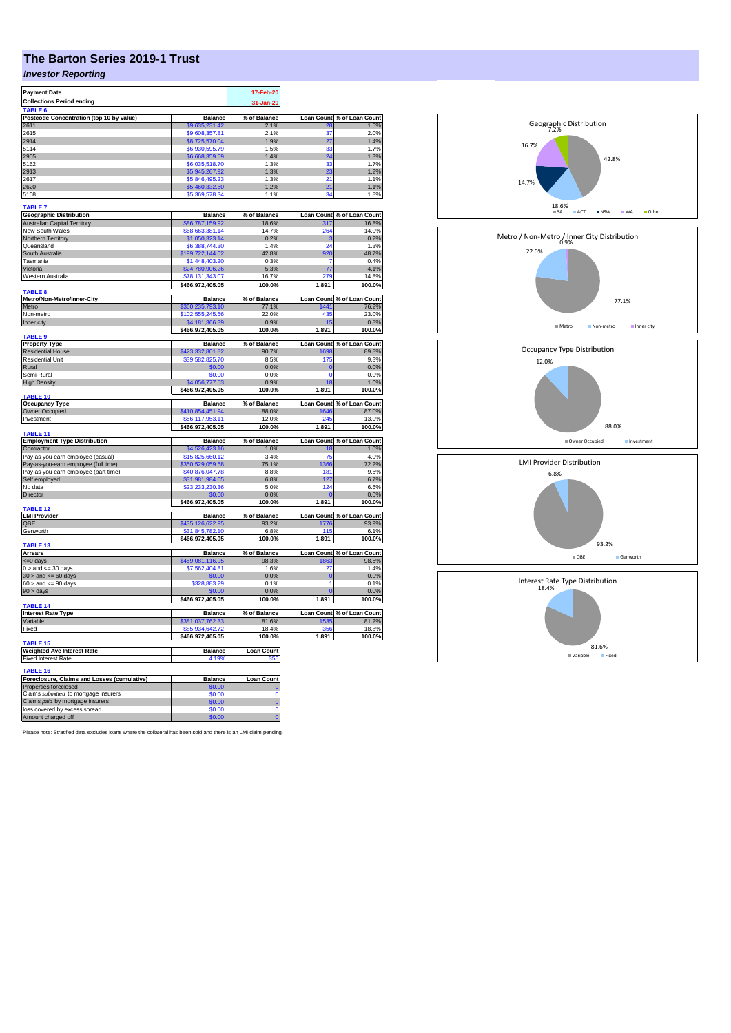## **The Barton Series 2019-1 Trust**

## *Investor Reporting*

| <b>Payment Date</b>                                    |                                      | 17-Feb-20             |                         |                                                                                                                                                                                                                      |
|--------------------------------------------------------|--------------------------------------|-----------------------|-------------------------|----------------------------------------------------------------------------------------------------------------------------------------------------------------------------------------------------------------------|
| <b>Collections Period ending</b>                       |                                      | 31-Jan-20             |                         |                                                                                                                                                                                                                      |
| TABLE <sub>6</sub>                                     |                                      |                       |                         |                                                                                                                                                                                                                      |
| Postcode Concentration (top 10 by value)               | <b>Balance</b>                       | % of Balance          | <b>Loan Count</b>       |                                                                                                                                                                                                                      |
| 2611                                                   | \$9,635,231.42                       | 2.1%                  |                         | of Loan Count<br>1.5%                                                                                                                                                                                                |
| 2615                                                   | \$9,608,357.81                       | 2.1%                  | 37                      | 2.0%                                                                                                                                                                                                                 |
| 2914                                                   | \$8,725,570.04                       | 1.9%                  | 27                      | 1.4%                                                                                                                                                                                                                 |
| 5114                                                   | \$6,930,595.79                       | 1.5%                  | 33                      | 1.7%                                                                                                                                                                                                                 |
| 2905                                                   | \$6,668,359.59                       | 1.4%                  | $\overline{24}$         | 1.3%                                                                                                                                                                                                                 |
| 5162                                                   | \$6,035,518.70                       | 1.3%                  | 33                      | 1.7%                                                                                                                                                                                                                 |
| 2913                                                   | \$5,945,267.92                       | 1.3%                  | 23                      | 1.2%                                                                                                                                                                                                                 |
| 2617                                                   | \$5,846,495.23                       | 1.3%                  | 21                      | 1.1%                                                                                                                                                                                                                 |
| 2620                                                   | \$5,460,332.60                       | 1.2%                  | 21                      | 1.1%                                                                                                                                                                                                                 |
| 5108                                                   | \$5,369,578.34                       | 1.1%                  | 34                      | 1.8%                                                                                                                                                                                                                 |
|                                                        |                                      |                       |                         |                                                                                                                                                                                                                      |
| <b>TABLE 7</b>                                         |                                      |                       |                         |                                                                                                                                                                                                                      |
| <b>Geographic Distribution</b>                         | Balance                              | % of Balance          | <b>Loan Count</b>       | % of Loan Count                                                                                                                                                                                                      |
| <b>Australian Capital Territory</b>                    | \$86,787,159.92                      | 18.6%                 | 317                     | 16.8%                                                                                                                                                                                                                |
| New South Wales                                        | \$68,663,381.14                      | 14.7%                 | 264                     | 14.0%                                                                                                                                                                                                                |
| Northern Territory                                     | \$1,050,323.14                       | 0.2%                  | з                       | 0.2%                                                                                                                                                                                                                 |
| Queensland                                             | \$6,388,744.30                       | 1.4%                  | 24                      | 1.3%                                                                                                                                                                                                                 |
| South Australia                                        | \$199,722,144.02                     | 42.8%                 | 920                     | 48.7%                                                                                                                                                                                                                |
| Tasmania                                               | \$1,448,403.20                       | 0.3%                  | 7                       | 0.4%                                                                                                                                                                                                                 |
| Victoria                                               | \$24,780,906.26                      | 5.3%                  | 77                      | 4.1%                                                                                                                                                                                                                 |
| Western Australia                                      |                                      | 16.7%                 | 279                     | 14.8%                                                                                                                                                                                                                |
|                                                        | \$78,131,343.07                      |                       |                         |                                                                                                                                                                                                                      |
| TABLE 8                                                | \$466,972,405.05                     | 100.0%                | 1,891                   | 100.0%                                                                                                                                                                                                               |
| Metro/Non-Metro/Inner-City                             | <b>Balance</b>                       | % of Balance          | <b>Loan Count</b>       | % of Loan Count                                                                                                                                                                                                      |
|                                                        |                                      |                       | 1441                    | 76.2%                                                                                                                                                                                                                |
| Metro<br>Non-metro                                     | \$360,235,793.10<br>\$102,555,245.56 | 77.1%<br>22.0%        | 435                     | 23.0%                                                                                                                                                                                                                |
| Inner city                                             | \$4,181,366.39                       | 0.9%                  | 15                      | 0.8%                                                                                                                                                                                                                 |
|                                                        |                                      | 100.0%                | 1,891                   |                                                                                                                                                                                                                      |
| <b>TABLE 9</b>                                         | \$466,972,405.05                     |                       |                         | 100.0%                                                                                                                                                                                                               |
| <b>Property Type</b>                                   | <b>Balance</b>                       | % of Balance          | <b>Loan Count</b>       |                                                                                                                                                                                                                      |
| <b>Residential House</b>                               | 423,332,801.82                       | 90.7%                 | 1698                    | of Loan Count 89.8%                                                                                                                                                                                                  |
| <b>Residential Unit</b>                                | \$39,582,825.70                      | 8.5%                  | 175                     | 9.3%                                                                                                                                                                                                                 |
| Rural                                                  |                                      | 0.0%                  | $\mathbf 0$             | 0.0%                                                                                                                                                                                                                 |
| Semi-Rural                                             | \$0.00<br>\$0.00                     | 0.0%                  | $\mathbf 0$             | 0.0%                                                                                                                                                                                                                 |
| <b>High Density</b>                                    |                                      |                       |                         |                                                                                                                                                                                                                      |
|                                                        | 4,056,777.53                         | 0.9%<br>100.0%        | 18<br>1,891             | 1.0%<br>100.0%                                                                                                                                                                                                       |
| <b>TABLE 10</b>                                        | \$466,972,405.05                     |                       |                         |                                                                                                                                                                                                                      |
|                                                        |                                      |                       |                         |                                                                                                                                                                                                                      |
|                                                        |                                      |                       |                         |                                                                                                                                                                                                                      |
| <b>Occupancy Type</b>                                  | <b>Balance</b>                       | % of Balance          | <b>Loan Count</b>       |                                                                                                                                                                                                                      |
| Owner Occupied<br>Investment                           | \$410,854,451.94                     | 88.0%                 | 1646<br>24              |                                                                                                                                                                                                                      |
|                                                        | \$56,117,953.11                      | 12.0%                 |                         |                                                                                                                                                                                                                      |
|                                                        | \$466,972,405.05                     | 100.0%                | 1,891                   |                                                                                                                                                                                                                      |
| TABLE 11                                               |                                      |                       |                         |                                                                                                                                                                                                                      |
| <b>Employment Type Distribution</b><br>Contractor      | <b>Balance</b><br>\$4,526,423.16     | % of Balance<br>1.0%  | <b>Loan Count</b><br>18 |                                                                                                                                                                                                                      |
|                                                        |                                      | 3.4%                  | 75                      |                                                                                                                                                                                                                      |
| Pay-as-you-earn employee (casual)                      | \$15,825,660.12                      |                       | 366                     |                                                                                                                                                                                                                      |
| Pay-as-you-earn employee (full time)                   | \$350,529,059.58                     | 75.1%                 | 181                     |                                                                                                                                                                                                                      |
| Pay-as-you-earn employee (part time)                   | \$40,876,047.78                      | 8.8%                  | 127                     |                                                                                                                                                                                                                      |
| Self employed                                          | \$31,981,984.05                      | 6.8%                  |                         |                                                                                                                                                                                                                      |
| No data                                                | \$23,233,230.36                      | 5.0%                  | 124                     |                                                                                                                                                                                                                      |
| Director                                               | \$0.00                               | 0.0%                  | $\epsilon$              |                                                                                                                                                                                                                      |
|                                                        | \$466,972,405.05                     | 100.0%                | 1,891                   |                                                                                                                                                                                                                      |
| <b>TABLE 12</b>                                        |                                      |                       |                         |                                                                                                                                                                                                                      |
| <b>LMI Provider</b><br>QBE                             | <b>Balance</b>                       | % of Balance<br>93.2% | 1776                    |                                                                                                                                                                                                                      |
|                                                        | \$435,126,622.95                     | 6.8%                  | 115                     |                                                                                                                                                                                                                      |
| Genworth                                               | \$31,845,782.10                      |                       |                         |                                                                                                                                                                                                                      |
| <b>TABLE 13</b>                                        | \$466,972,405.05                     | 100.0%                | 1,891                   |                                                                                                                                                                                                                      |
| <b>Arrears</b>                                         | <b>Balance</b>                       | % of Balance          | <b>Loan Count</b>       |                                                                                                                                                                                                                      |
| <= 0 days                                              |                                      | 98.3%                 | 1863                    | of Loan Count<br>87.0%<br>13.0%<br>100.0%<br>% of Loan Count<br>1.0%<br>4.0%<br>72.2%<br>9.6%<br>6.7%<br>6.6%<br>0.0%<br>100.0%<br>Loan Count % of Loan Count<br>93.9%<br>6.1%<br>100.0%<br>% of Loan Count<br>98.5% |
| $0 >$ and $\leq 30$ days                               | \$459,081,116.95<br>\$7,562,404.81   | 1.6%                  | 27                      |                                                                                                                                                                                                                      |
|                                                        | \$0.00                               |                       | $\mathbf 0$             |                                                                                                                                                                                                                      |
| $30 >$ and $\leq 60$ days<br>$60 >$ and $\leq 90$ days | \$328,883.29                         | 0.0%<br>0.1%          | 1                       | 1.4%<br>0.0%<br>0.1%                                                                                                                                                                                                 |
|                                                        |                                      |                       |                         |                                                                                                                                                                                                                      |
| $90 > \text{days}$                                     | \$0.00<br>\$466,972,405.05           | 0.0%<br>100.0%        | 1,891                   | 0.0%<br>100.0%                                                                                                                                                                                                       |
| <b>TABLE 14</b>                                        |                                      |                       |                         |                                                                                                                                                                                                                      |
| <b>Interest Rate Type</b>                              | <b>Balance</b>                       | % of Balance          | <b>Loan Count</b>       |                                                                                                                                                                                                                      |
| Variable                                               |                                      |                       | 1535                    | % of Loan Count<br>81.2%                                                                                                                                                                                             |
| Fixed                                                  | \$381,037,762.33<br>\$85,934,642.72  | 81.6%<br>18.4%        | 356                     | 18.8%                                                                                                                                                                                                                |
|                                                        | \$466,972,405.05                     | 100.0%                | 1,891                   | 100.0%                                                                                                                                                                                                               |
| TABLE 15                                               |                                      |                       |                         |                                                                                                                                                                                                                      |
| <b>Weighted Ave Interest Rate</b>                      | <b>Balance</b>                       | <b>Loan Count</b>     |                         |                                                                                                                                                                                                                      |
| <b>Fixed Interest Rate</b>                             | 4.19%                                | 356                   |                         |                                                                                                                                                                                                                      |
|                                                        |                                      |                       |                         |                                                                                                                                                                                                                      |
| <b>TABLE 16</b>                                        |                                      |                       |                         |                                                                                                                                                                                                                      |
| Foreclosure, Claims and Losses (cumulative)            | Balance                              | <b>Loan Count</b>     |                         |                                                                                                                                                                                                                      |
| Properties foreclosed                                  | \$0.00                               |                       |                         |                                                                                                                                                                                                                      |
| Claims submitted to mortgage insurers                  | \$0.00                               | $\overline{0}$        |                         |                                                                                                                                                                                                                      |
| Claims paid by mortgage insurers                       | \$0.00                               | $\overline{0}$        |                         |                                                                                                                                                                                                                      |
| loss covered by excess spread<br>Amount charged off    | \$0.00<br>\$0.00                     | Ō<br>$\Omega$         |                         |                                                                                                                                                                                                                      |

Please note: Stratified data excludes loans where the collateral has been sold and there is an LMI claim pending.